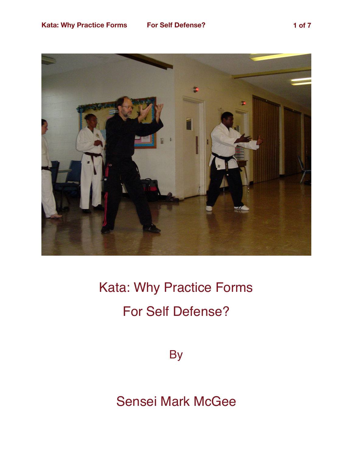

# Kata: Why Practice Forms For Self Defense?

By

Sensei Mark McGee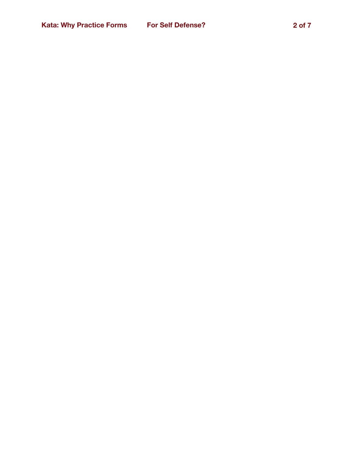#### **Kata: Why Practice Forms For Self Defense? 2 of 7**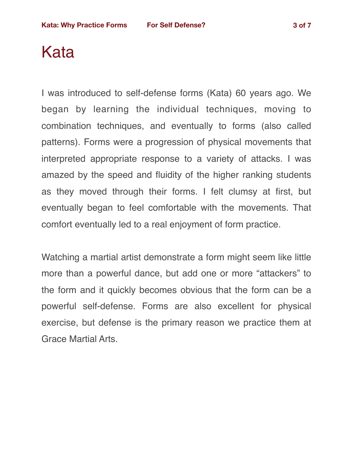### Kata

I was introduced to self-defense forms (Kata) 60 years ago. We began by learning the individual techniques, moving to combination techniques, and eventually to forms (also called patterns). Forms were a progression of physical movements that interpreted appropriate response to a variety of attacks. I was amazed by the speed and fluidity of the higher ranking students as they moved through their forms. I felt clumsy at first, but eventually began to feel comfortable with the movements. That comfort eventually led to a real enjoyment of form practice.

Watching a martial artist demonstrate a form might seem like little more than a powerful dance, but add one or more "attackers" to the form and it quickly becomes obvious that the form can be a powerful self-defense. Forms are also excellent for physical exercise, but defense is the primary reason we practice them at Grace Martial Arts.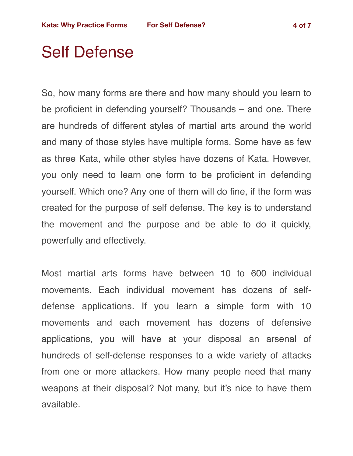## Self Defense

So, how many forms are there and how many should you learn to be proficient in defending yourself? Thousands – and one. There are hundreds of different styles of martial arts around the world and many of those styles have multiple forms. Some have as few as three Kata, while other styles have dozens of Kata. However, you only need to learn one form to be proficient in defending yourself. Which one? Any one of them will do fine, if the form was created for the purpose of self defense. The key is to understand the movement and the purpose and be able to do it quickly, powerfully and effectively.

Most martial arts forms have between 10 to 600 individual movements. Each individual movement has dozens of selfdefense applications. If you learn a simple form with 10 movements and each movement has dozens of defensive applications, you will have at your disposal an arsenal of hundreds of self-defense responses to a wide variety of attacks from one or more attackers. How many people need that many weapons at their disposal? Not many, but it's nice to have them available.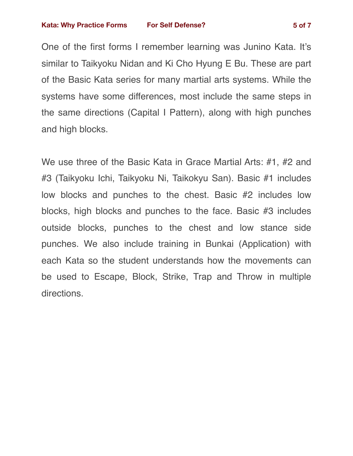One of the first forms I remember learning was Junino Kata. It's similar to Taikyoku Nidan and Ki Cho Hyung E Bu. These are part of the Basic Kata series for many martial arts systems. While the systems have some differences, most include the same steps in the same directions (Capital I Pattern), along with high punches and high blocks.

We use three of the Basic Kata in Grace Martial Arts: #1, #2 and #3 (Taikyoku Ichi, Taikyoku Ni, Taikokyu San). Basic #1 includes low blocks and punches to the chest. Basic #2 includes low blocks, high blocks and punches to the face. Basic #3 includes outside blocks, punches to the chest and low stance side punches. We also include training in Bunkai (Application) with each Kata so the student understands how the movements can be used to Escape, Block, Strike, Trap and Throw in multiple directions.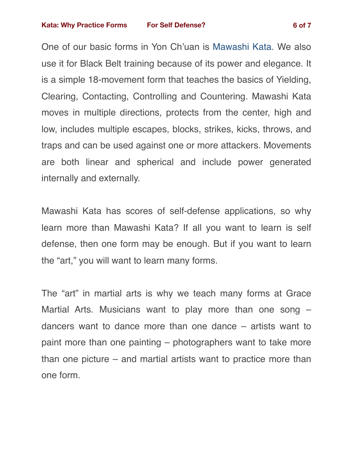One of our basic forms in Yon Ch'uan is [Mawashi Kata.](https://youtu.be/fHromT9gkRM) We also use it for Black Belt training because of its power and elegance. It is a simple 18-movement form that teaches the basics of Yielding, Clearing, Contacting, Controlling and Countering. Mawashi Kata moves in multiple directions, protects from the center, high and low, includes multiple escapes, blocks, strikes, kicks, throws, and traps and can be used against one or more attackers. Movements are both linear and spherical and include power generated internally and externally.

Mawashi Kata has scores of self-defense applications, so why learn more than Mawashi Kata? If all you want to learn is self defense, then one form may be enough. But if you want to learn the "art," you will want to learn many forms.

The "art" in martial arts is why we teach many forms at Grace Martial Arts. Musicians want to play more than one song – dancers want to dance more than one dance – artists want to paint more than one painting – photographers want to take more than one picture – and martial artists want to practice more than one form.